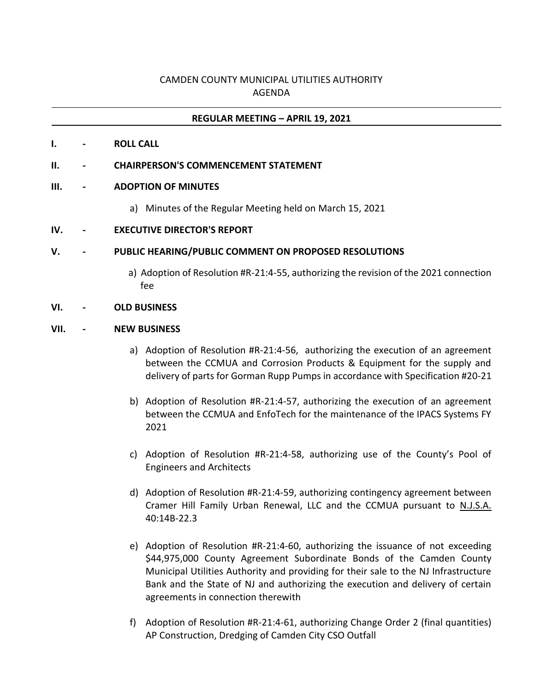# CAMDEN COUNTY MUNICIPAL UTILITIES AUTHORITY AGENDA

## **REGULAR MEETING – APRIL 19, 2021**

**I. - ROLL CALL**

### **II. - CHAIRPERSON'S COMMENCEMENT STATEMENT**

### **III. - ADOPTION OF MINUTES**

- a) Minutes of the Regular Meeting held on March 15, 2021
- **IV. - EXECUTIVE DIRECTOR'S REPORT**

### **V. - PUBLIC HEARING/PUBLIC COMMENT ON PROPOSED RESOLUTIONS**

a) Adoption of Resolution #R-21:4-55, authorizing the revision of the 2021 connection fee

### **VI. - OLD BUSINESS**

### **VII. - NEW BUSINESS**

- a) Adoption of Resolution #R-21:4-56, authorizing the execution of an agreement between the CCMUA and Corrosion Products & Equipment for the supply and delivery of parts for Gorman Rupp Pumps in accordance with Specification #20-21
- b) Adoption of Resolution #R-21:4-57, authorizing the execution of an agreement between the CCMUA and EnfoTech for the maintenance of the IPACS Systems FY 2021
- c) Adoption of Resolution #R-21:4-58, authorizing use of the County's Pool of Engineers and Architects
- d) Adoption of Resolution #R-21:4-59, authorizing contingency agreement between Cramer Hill Family Urban Renewal, LLC and the CCMUA pursuant to N.J.S.A. 40:14B-22.3
- e) Adoption of Resolution #R-21:4-60, authorizing the issuance of not exceeding \$44,975,000 County Agreement Subordinate Bonds of the Camden County Municipal Utilities Authority and providing for their sale to the NJ Infrastructure Bank and the State of NJ and authorizing the execution and delivery of certain agreements in connection therewith
- f) Adoption of Resolution #R-21:4-61, authorizing Change Order 2 (final quantities) AP Construction, Dredging of Camden City CSO Outfall